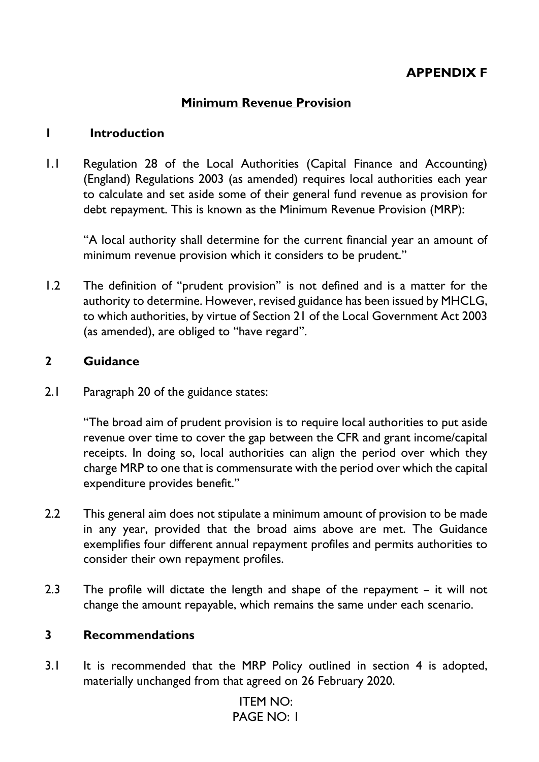# **APPENDIX F**

## **Minimum Revenue Provision**

### **1 Introduction**

1.1 Regulation 28 of the Local Authorities (Capital Finance and Accounting) (England) Regulations 2003 (as amended) requires local authorities each year to calculate and set aside some of their general fund revenue as provision for debt repayment. This is known as the Minimum Revenue Provision (MRP):

"A local authority shall determine for the current financial year an amount of minimum revenue provision which it considers to be prudent."

1.2 The definition of "prudent provision" is not defined and is a matter for the authority to determine. However, revised guidance has been issued by MHCLG, to which authorities, by virtue of Section 21 of the Local Government Act 2003 (as amended), are obliged to "have regard".

### **2 Guidance**

2.1 Paragraph 20 of the guidance states:

"The broad aim of prudent provision is to require local authorities to put aside revenue over time to cover the gap between the CFR and grant income/capital receipts. In doing so, local authorities can align the period over which they charge MRP to one that is commensurate with the period over which the capital expenditure provides benefit."

- 2.2 This general aim does not stipulate a minimum amount of provision to be made in any year, provided that the broad aims above are met. The Guidance exemplifies four different annual repayment profiles and permits authorities to consider their own repayment profiles.
- 2.3 The profile will dictate the length and shape of the repayment it will not change the amount repayable, which remains the same under each scenario.

### **3 Recommendations**

3.1 It is recommended that the MRP Policy outlined in section 4 is adopted, materially unchanged from that agreed on 26 February 2020.

# ITEM NO: PAGE NO: 1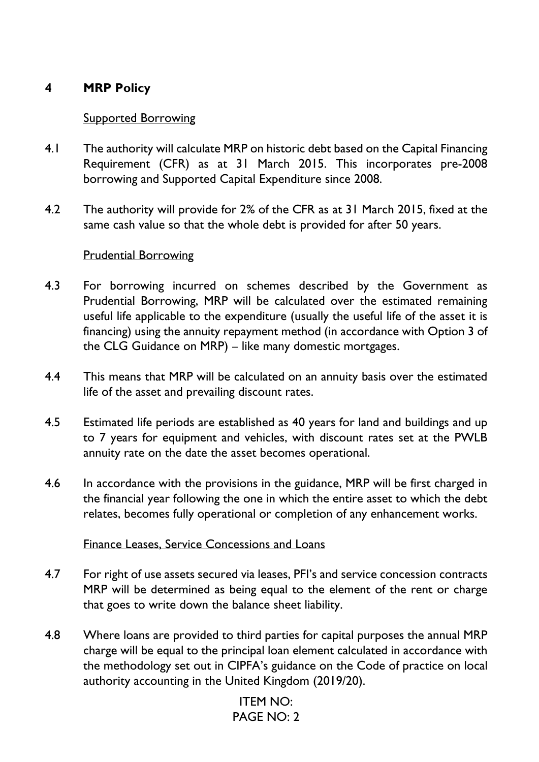# **4 MRP Policy**

### Supported Borrowing

- 4.1 The authority will calculate MRP on historic debt based on the Capital Financing Requirement (CFR) as at 31 March 2015. This incorporates pre-2008 borrowing and Supported Capital Expenditure since 2008.
- 4.2 The authority will provide for 2% of the CFR as at 31 March 2015, fixed at the same cash value so that the whole debt is provided for after 50 years.

### Prudential Borrowing

- 4.3 For borrowing incurred on schemes described by the Government as Prudential Borrowing, MRP will be calculated over the estimated remaining useful life applicable to the expenditure (usually the useful life of the asset it is financing) using the annuity repayment method (in accordance with Option 3 of the CLG Guidance on MRP) – like many domestic mortgages.
- 4.4 This means that MRP will be calculated on an annuity basis over the estimated life of the asset and prevailing discount rates.
- 4.5 Estimated life periods are established as 40 years for land and buildings and up to 7 years for equipment and vehicles, with discount rates set at the PWLB annuity rate on the date the asset becomes operational.
- 4.6 In accordance with the provisions in the guidance, MRP will be first charged in the financial year following the one in which the entire asset to which the debt relates, becomes fully operational or completion of any enhancement works.

### Finance Leases, Service Concessions and Loans

- 4.7 For right of use assets secured via leases, PFI's and service concession contracts MRP will be determined as being equal to the element of the rent or charge that goes to write down the balance sheet liability.
- 4.8 Where loans are provided to third parties for capital purposes the annual MRP charge will be equal to the principal loan element calculated in accordance with the methodology set out in CIPFA's guidance on the Code of practice on local authority accounting in the United Kingdom (2019/20).

# ITEM NO: PAGE NO: 2